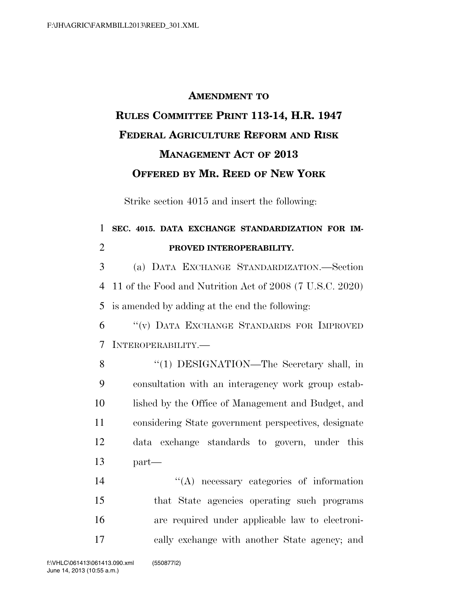## **AMENDMENT TO RULES COMMITTEE PRINT 113-14, H.R. 1947 FEDERAL AGRICULTURE REFORM AND RISK MANAGEMENT ACT OF 2013 OFFERED BY MR. REED OF NEW YORK**

Strike section 4015 and insert the following:

## 1 **SEC. 4015. DATA EXCHANGE STANDARDIZATION FOR IM-**2 **PROVED INTEROPERABILITY.**

3 (a) DATA EXCHANGE STANDARDIZATION.—Section 4 11 of the Food and Nutrition Act of 2008 (7 U.S.C. 2020) 5 is amended by adding at the end the following:

6 ''(v) DATA EXCHANGE STANDARDS FOR IMPROVED 7 INTEROPERABILITY.—

8 "(1) DESIGNATION—The Secretary shall, in 9 consultation with an interagency work group estab-10 lished by the Office of Management and Budget, and 11 considering State government perspectives, designate 12 data exchange standards to govern, under this 13 part—

 $\langle A \rangle$  necessary categories of information that State agencies operating such programs are required under applicable law to electroni-cally exchange with another State agency; and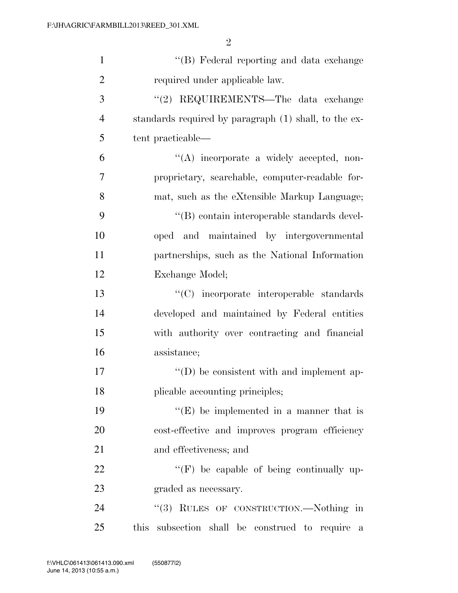| $\mathbf{1}$   | "(B) Federal reporting and data exchange              |
|----------------|-------------------------------------------------------|
| $\overline{2}$ | required under applicable law.                        |
| 3              | "(2) REQUIREMENTS—The data exchange                   |
| $\overline{4}$ | standards required by paragraph (1) shall, to the ex- |
| 5              | tent practicable—                                     |
| 6              | "(A) incorporate a widely accepted, non-              |
| 7              | proprietary, searchable, computer-readable for-       |
| 8              | mat, such as the eXtensible Markup Language;          |
| 9              | "(B) contain interoperable standards devel-           |
| 10             | oped and maintained by intergovernmental              |
| 11             | partnerships, such as the National Information        |
| 12             | Exchange Model;                                       |
| 13             | "(C) incorporate interoperable standards              |
| 14             | developed and maintained by Federal entities          |
| 15             | with authority over contracting and financial         |
| 16             | assistance;                                           |
| 17             | "(D) be consistent with and implement ap-             |
| 18             | plicable accounting principles;                       |
| 19             | $\lq\lq(E)$ be implemented in a manner that is        |
| 20             | cost-effective and improves program efficiency        |
| 21             | and effectiveness; and                                |
| 22             | $\lq\lq(F)$ be capable of being continually up-       |
| 23             | graded as necessary.                                  |
| 24             | "(3) RULES OF CONSTRUCTION.—Nothing in                |
| 25             | this subsection shall be construed to require<br>a    |